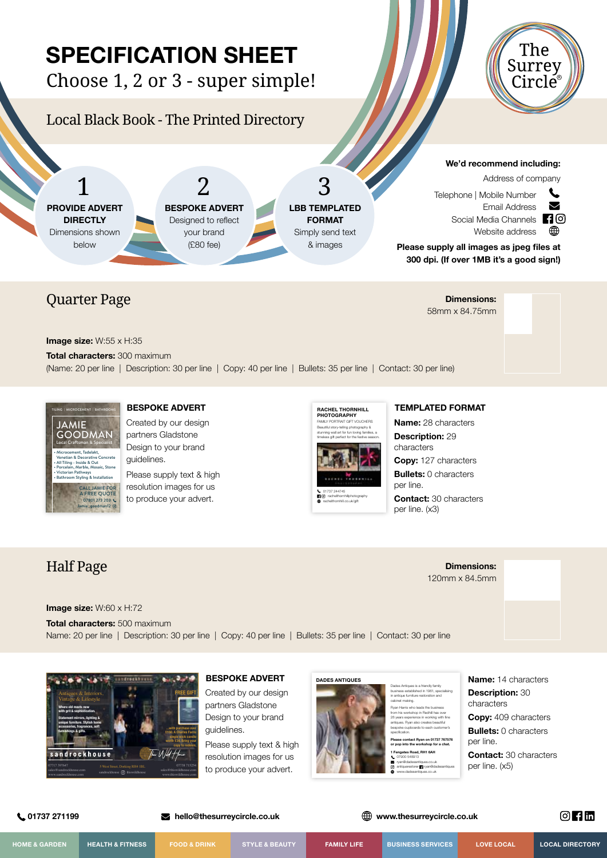# **SPECIFICATION SHEET**

Choose 1, 2 or 3 - super simple!

# Local Black Book - The Printed Directory





**Image size:** W:55 x H:35

**Total characters:** 300 maximum

(Name: 20 per line | Description: 30 per line | Copy: 40 per line | Bullets: 35 per line | Contact: 30 per line)



### **BESPOKE ADVERT**

Created by our design partners Gladstone Design to your brand guidelines.

Please supply text & high resolution images for us to produce your advert.



**9** rachelthornhillphotography rachelthornhill.co.uk/gift

#### **TEMPLATED FORMAT**

58mm x 84.75mm

**Name:** 28 characters **Description:** 29 characters

**Copy:** 127 characters

**Bullets:** 0 characters per line.

**Contact:** 30 characters per line. (x3)

> **Dimensions:** 120mm x 84.5mm

### Half Page

#### **Image size:** W:60 x H:72

**Total characters:** 500 maximum Name: 20 per line | Description: 30 per line | Copy: 40 per line | Bullets: 35 per line | Contact: 30 per line



#### **BESPOKE ADVERT**

Created by our design partners Gladstone Design to your brand guidelines.

Please supply text & high resolution images for us to produce your advert.



Dades Antiques is a friendly family business established in 1961, specialising in antique furniture restoration and cabinet making.

Ryan Harris who leads the business from his workshop in Redhill has over 28 years experience in working with fine antiques. Ryan also creates beautiful bespoke cupboards to each customer's **Please contact Ryan on 01737 767576 or pop into the workshop for a chat.** 

**1 Fengates Road, RH1 6AH**  07900 548913 ryan@dadesantiques.co.uk antiquerestorer **T1** ryan@dadesantiques www.dadesantiques.co.uk

**Name:** 14 characters **Description:** 30 characters **Copy:** 409 characters **Bullets:** 0 characters per line. **Contact:** 30 characters per line. (x5)

 **01737 271199 hello@thesurreycircle.co.uk www.thesurreycircle.co.uk**

 $\circ$   $\mathbf{H}$   $\mathbf{m}$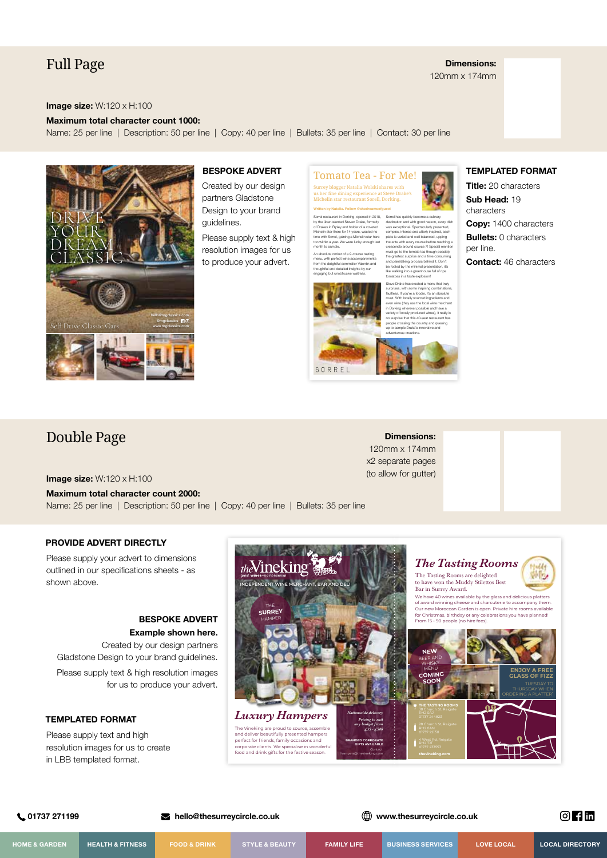### Full Page

**Dimensions:** 120mm x 174mm

#### **Image size:** W:120 x H:100

#### **Maximum total character count 1000:**

Name: 25 per line | Description: 50 per line | Copy: 40 per line | Bullets: 35 per line | Contact: 30 per line



#### **BESPOKE ADVERT**

Created by our design partners Gladstone Design to your brand guidelines.

Please supply text & high resolution images for us to produce your advert.



**Written by Natalia. Follow @shedreamsofgucci** 

by the über-talented Steven Drake, formerly of Drakes in Ripley and holder of a coveted Michelin star there for 14 years, wasted no time with Sorrel, gaining a Michelin star here too within a year. We were lucky enough last month to sample. An absolute corker of a 9-course tasting menu, with perfect wine accompaniments from the delightful sommelier Valentin and thoughtful and detailed insights by our

engaging but unobtrusive waitress.

Sorrel restaurant in Dorking, opened in 2018,



Sorrel has quickly become a culinary destination and with good reason, every dish was exceptional. Sp complex, intense and utterly inspired, each plate is varied and well balanced, upping the ante with every course before reaching a crescendo around course 7! Special mention must go to the tomato tea though possibly the greatest surprise and a time consuming and painstaking process behind it. Don't be fooled by the minimal presentation, it's like walking into a greenhouse full of ripe tomatoes in a taste explosion! Steve Drake has created a menu that truly

**Dimensions:** 120mm x 174mm x2 separate pages (to allow for gutter)



**Copy:** 1400 characters **Bullets:** 0 characters

per line.

**Contact:** 46 characters

# Double Page

**Image size:** W:120 x H:100

#### **Maximum total character count 2000:**

Name: 25 per line | Description: 50 per line | Copy: 40 per line | Bullets: 35 per line

**PROVIDE ADVERT DIRECTLY**

Please supply your advert to dimensions outlined in our specifications sheets - as shown above.

### **BESPOKE ADVERT Example shown here.**

Created by our design partners Gladstone Design to your brand guidelines. Please supply text & high resolution images for us to produce your advert.

### **TEMPLATED FORMAT**

Please supply text and high resolution images for us to create in LBB templated format.



 **01737 271199 hello@thesurreycircle.co.uk www.thesurreycircle.co.uk**